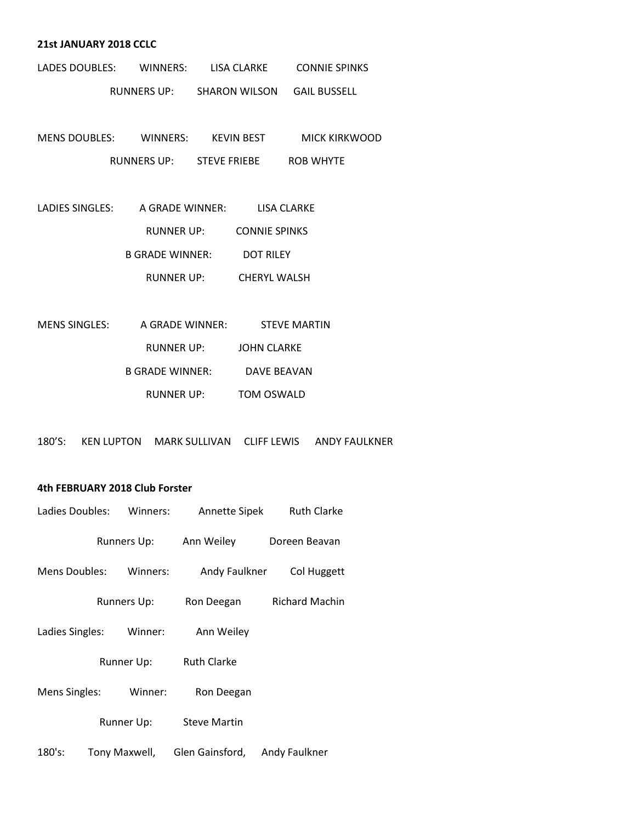#### **21st JANUARY 2018 CCLC**

| LADES DOUBLES: | WINNERS:           | LISA CLARKE          | <b>CONNIE SPINKS</b> |
|----------------|--------------------|----------------------|----------------------|
|                | <b>RUNNERS UP:</b> | <b>SHARON WILSON</b> | GAIL BUSSELL         |

MENS DOUBLES: WINNERS: KEVIN BEST MICK KIRKWOOD RUNNERS UP: STEVE FRIEBE ROB WHYTE

| LADIES SINGLES: | A GRADE WINNER:        | LISA CLARKE          |  |
|-----------------|------------------------|----------------------|--|
|                 | RUNNER UP:             | <b>CONNIE SPINKS</b> |  |
|                 | <b>B GRADE WINNER:</b> | <b>DOT RILEY</b>     |  |
|                 | RUNNER UP:             | <b>CHERYL WALSH</b>  |  |

| MENS SINGLES: | A GRADE WINNER: | <b>STEVE MARTIN</b> |
|---------------|-----------------|---------------------|
|               | RUNNER UP:      | <b>JOHN CLARKE</b>  |
|               | B GRADE WINNER: | DAVE BEAVAN         |
|               | RUNNER UP:      | <b>TOM OSWALD</b>   |

180'S: KEN LUPTON MARK SULLIVAN CLIFF LEWIS ANDY FAULKNER

### **4th FEBRUARY 2018 Club Forster**

| Ladies Doubles: | Winners:      | Annette Sipek       | <b>Ruth Clarke</b>    |
|-----------------|---------------|---------------------|-----------------------|
|                 | Runners Up:   | Ann Weiley          | Doreen Beavan         |
| Mens Doubles:   | Winners:      | Andy Faulkner       | Col Huggett           |
|                 | Runners Up:   | Ron Deegan          | <b>Richard Machin</b> |
| Ladies Singles: | Winner:       | Ann Weiley          |                       |
|                 | Runner Up:    | <b>Ruth Clarke</b>  |                       |
| Mens Singles:   | Winner:       | Ron Deegan          |                       |
|                 | Runner Up:    | <b>Steve Martin</b> |                       |
| 180's:          | Tony Maxwell, | Glen Gainsford,     | Andy Faulkner         |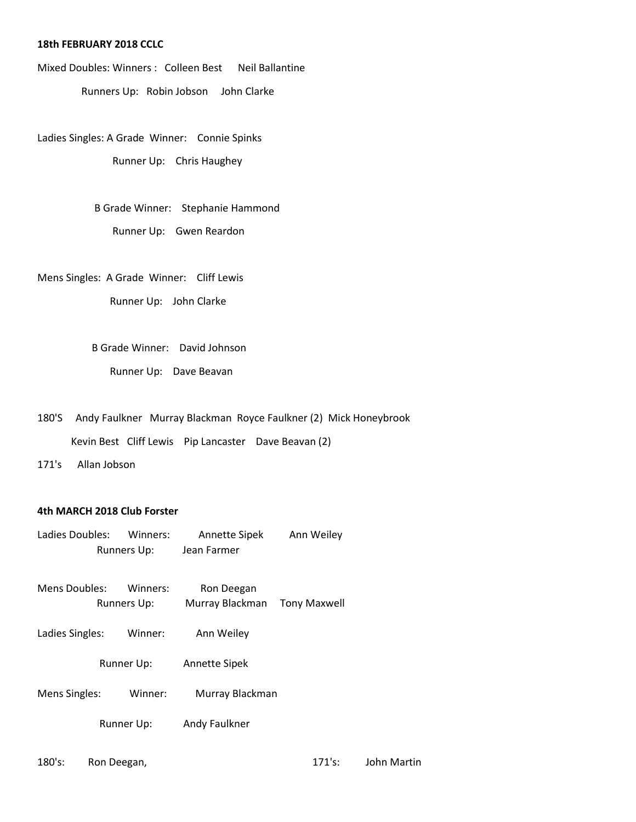#### **18th FEBRUARY 2018 CCLC**

Mixed Doubles: Winners : Colleen Best Neil Ballantine Runners Up: Robin Jobson John Clarke

Ladies Singles: A Grade Winner: Connie Spinks Runner Up: Chris Haughey

> B Grade Winner: Stephanie Hammond Runner Up: Gwen Reardon

Mens Singles: A Grade Winner: Cliff Lewis Runner Up: John Clarke

> B Grade Winner: David Johnson Runner Up: Dave Beavan

180'S Andy Faulkner Murray Blackman Royce Faulkner (2) Mick Honeybrook Kevin Best Cliff Lewis Pip Lancaster Dave Beavan (2)

171's Allan Jobson

## **4th MARCH 2018 Club Forster**

- Ladies Doubles: Winners: Annette Sipek Ann Weiley Runners Up: Jean Farmer
- Mens Doubles: Winners: Ron Deegan Runners Up: Murray Blackman Tony Maxwell
- Ladies Singles: Winner: Ann Weiley
	- Runner Up: Annette Sipek
- Mens Singles: Winner: Murray Blackman

Runner Up: Andy Faulkner

180's: Ron Deegan, 171's: John Martin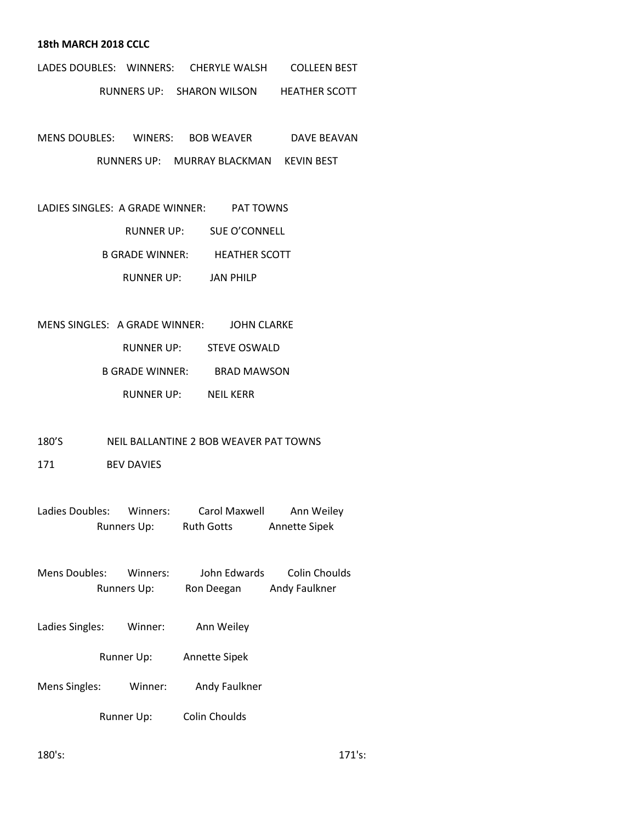#### **18th MARCH 2018 CCLC**

- LADES DOUBLES: WINNERS: CHERYLE WALSH COLLEEN BEST RUNNERS UP: SHARON WILSON HEATHER SCOTT
- MENS DOUBLES: WINERS: BOB WEAVER DAVE BEAVAN RUNNERS UP: MURRAY BLACKMAN KEVIN BEST
- LADIES SINGLES: A GRADE WINNER: PAT TOWNS RUNNER UP: SUE O'CONNELL B GRADE WINNER: HEATHER SCOTT RUNNER UP: JAN PHILP

MENS SINGLES: A GRADE WINNER: JOHN CLARKE

RUNNER UP: STEVE OSWALD

B GRADE WINNER: BRAD MAWSON

RUNNER UP: NEIL KERR

#### 180'S NEIL BALLANTINE 2 BOB WEAVER PAT TOWNS

171 BEV DAVIES

Ladies Doubles: Winners: Carol Maxwell Ann Weiley Runners Up: Ruth Gotts Annette Sipek

- Mens Doubles: Winners: John Edwards Colin Choulds Runners Up: Ron Deegan Andy Faulkner
- Ladies Singles: Winner: Ann Weiley
	- Runner Up: Annette Sipek
- Mens Singles: Winner: Andy Faulkner
	- Runner Up: Colin Choulds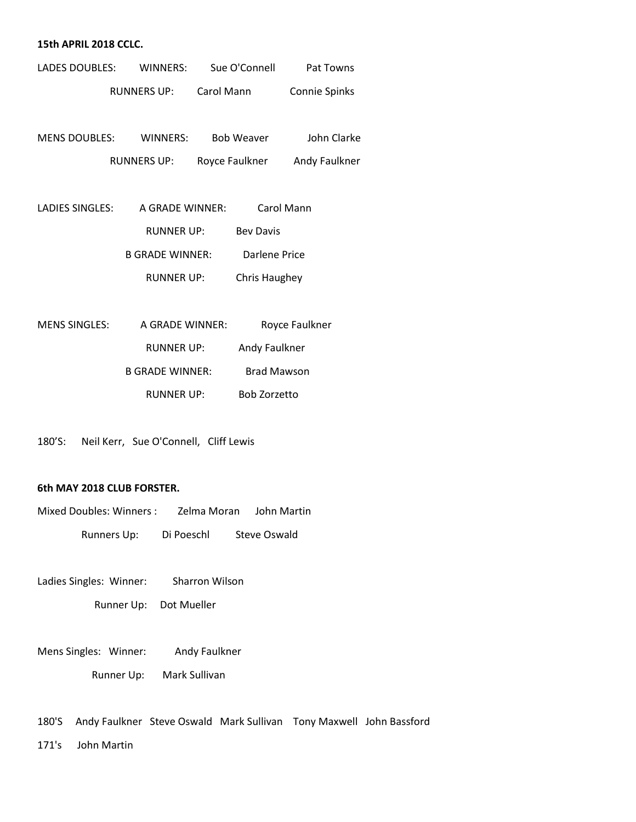#### **15th APRIL 2018 CCLC.**

| LADES DOUBLES: |                                            | WINNERS: Sue O'Connell | Pat Towns                    |
|----------------|--------------------------------------------|------------------------|------------------------------|
|                | RUNNERS UP: Carol Mann                     |                        | Connie Spinks                |
|                |                                            |                        |                              |
|                | MENS DOUBLES: WINNERS: Bob Weaver          |                        | John Clarke                  |
|                | RUNNERS UP:                                |                        | Royce Faulkner Andy Faulkner |
|                |                                            |                        |                              |
|                | LADIES SINGLES: A GRADE WINNER: Carol Mann |                        |                              |
|                | RUNNER UP:                                 | <b>Bev Davis</b>       |                              |
|                | B GRADE WINNER:                            |                        | Darlene Price                |
|                | RUNNER UP:                                 | Chris Haughey          |                              |
|                |                                            |                        |                              |
| MENS SINGLES:  | A GRADE WINNER:                            |                        | Royce Faulkner               |
|                | <b>RUNNER UP:</b>                          |                        | Andy Faulkner                |

|                        | .                  |
|------------------------|--------------------|
| <b>B GRADE WINNER:</b> | <b>Brad Mawson</b> |
| RUNNER UP:             | Bob Zorzetto       |

180'S: Neil Kerr, Sue O'Connell, Cliff Lewis

#### **6th MAY 2018 CLUB FORSTER.**

| Mixed Doubles: Winners : | Zelma Moran | John Martin  |
|--------------------------|-------------|--------------|
| Runners Up:              | Di Poeschl  | Steve Oswald |

Ladies Singles: Winner: Sharron Wilson Runner Up: Dot Mueller

Mens Singles: Winner: Andy Faulkner Runner Up: Mark Sullivan

180'S Andy Faulkner Steve Oswald Mark Sullivan Tony Maxwell John Bassford

171's John Martin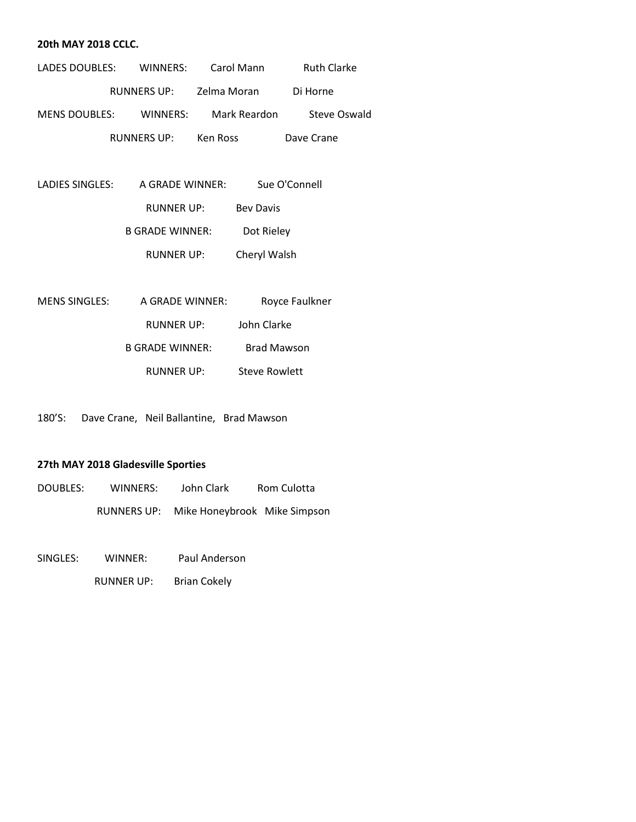#### **20th MAY 2018 CCLC.**

| LADES DOUBLES:       | WINNERS:           | Carol Mann   | <b>Ruth Clarke</b>  |
|----------------------|--------------------|--------------|---------------------|
|                      | <b>RUNNERS UP:</b> | Zelma Moran  | Di Horne            |
| <b>MENS DOUBLES:</b> | WINNERS:           | Mark Reardon | <b>Steve Oswald</b> |
|                      | <b>RUNNERS UP:</b> | Ken Ross     | Dave Crane          |

| LADIES SINGLES: | A GRADE WINNER:        | Sue O'Connell    |
|-----------------|------------------------|------------------|
|                 | RUNNER UP:             | <b>Bey Davis</b> |
|                 | <b>B GRADE WINNER:</b> | Dot Rieley       |
|                 | RUNNER UP:             | Cheryl Walsh     |

| MENS SINGLES: | A GRADE WINNER:        | Royce Faulkner     |
|---------------|------------------------|--------------------|
|               | RUNNER UP:             | John Clarke        |
|               | <b>B GRADE WINNER:</b> | <b>Brad Mawson</b> |
|               | RUNNER UP:             | Steve Rowlett      |

180'S: Dave Crane, Neil Ballantine, Brad Mawson

# **27th MAY 2018 Gladesville Sporties**

| DOUBLES: | WINNERS:    | John Clark                   | Rom Culotta |
|----------|-------------|------------------------------|-------------|
|          | RUNNERS UP: | Mike Honeybrook Mike Simpson |             |

SINGLES: WINNER: Paul Anderson

RUNNER UP: Brian Cokely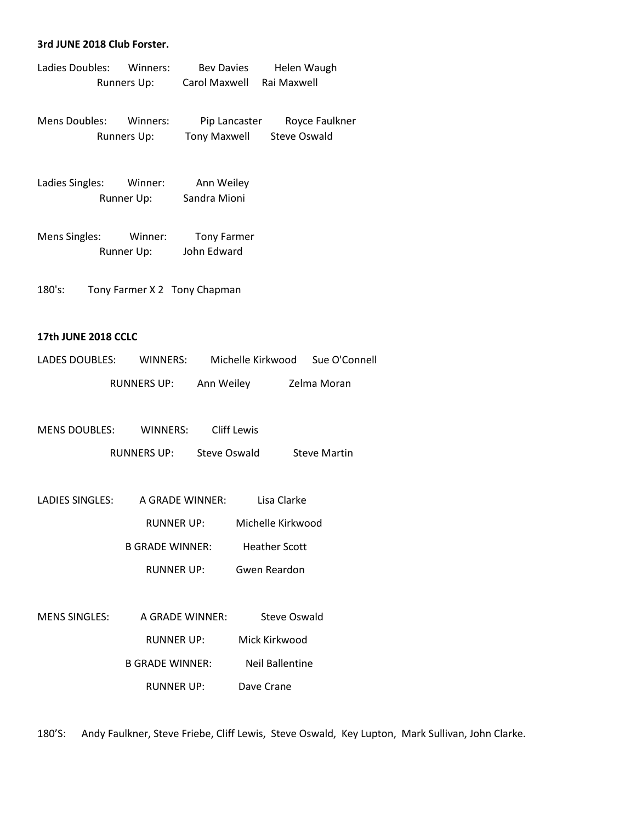#### **3rd JUNE 2018 Club Forster.**

| Ladies Doubles: | Winners: | <b>Bey Davies</b> | Helen Waugh |
|-----------------|----------|-------------------|-------------|
| Runners Up:     |          | Carol Maxwell     | Rai Maxwell |
|                 |          |                   |             |

Mens Doubles: Winners: Pip Lancaster Royce Faulkner Runners Up: Tony Maxwell Steve Oswald

Ladies Singles: Winner: Ann Weiley Runner Up: Sandra Mioni

Mens Singles: Winner: Tony Farmer Runner Up: John Edward

180's: Tony Farmer X 2 Tony Chapman

### **17th JUNE 2018 CCLC**

| LADES DOUBLES: | WINNERS:           | Michelle Kirkwood | Sue O'Connell |
|----------------|--------------------|-------------------|---------------|
|                | <b>RUNNERS UP:</b> | Ann Weiley        | Zelma Moran   |

| <b>MENS DOUBLES:</b> | WINNERS:           | Cliff Lewis  |                     |
|----------------------|--------------------|--------------|---------------------|
|                      | <b>RUNNERS UP:</b> | Steve Oswald | <b>Steve Martin</b> |

| LADIES SINGLES: | A GRADE WINNER: | Lisa Clarke          |
|-----------------|-----------------|----------------------|
|                 | RUNNER UP:      | Michelle Kirkwood    |
|                 | B GRADE WINNER: | <b>Heather Scott</b> |

RUNNER UP: Gwen Reardon

MENS SINGLES: A GRADE WINNER: Steve Oswald RUNNER UP: Mick Kirkwood B GRADE WINNER: Neil Ballentine RUNNER UP: Dave Crane

180'S: Andy Faulkner, Steve Friebe, Cliff Lewis, Steve Oswald, Key Lupton, Mark Sullivan, John Clarke.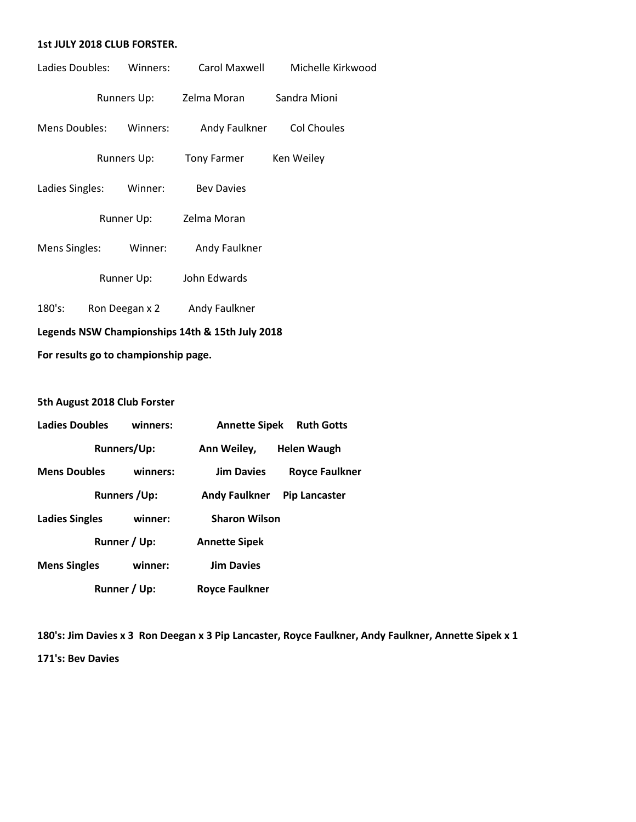#### **1st JULY 2018 CLUB FORSTER.**

| Ladies Doubles:                                 |  | Winners:       |                                      | Carol Maxwell Michelle Kirkwood |
|-------------------------------------------------|--|----------------|--------------------------------------|---------------------------------|
|                                                 |  |                | Runners Up: Zelma Moran Sandra Mioni |                                 |
| Mens Doubles: Winners:                          |  |                |                                      | Andy Faulkner Col Choules       |
|                                                 |  | Runners Up:    | Tony Farmer                          | Ken Weiley                      |
| Ladies Singles:                                 |  | Winner:        | <b>Bey Davies</b>                    |                                 |
|                                                 |  |                | Runner Up: Zelma Moran               |                                 |
|                                                 |  |                | Mens Singles: Winner: Andy Faulkner  |                                 |
|                                                 |  | Runner Up:     | John Edwards                         |                                 |
| 180's:                                          |  | Ron Deegan x 2 | Andy Faulkner                        |                                 |
| Legends NSW Championships 14th & 15th July 2018 |  |                |                                      |                                 |

**For results go to championship page.**

# **5th August 2018 Club Forster**

| <b>Ladies Doubles</b> | winners:            | <b>Annette Sipek</b>  | <b>Ruth Gotts</b>     |
|-----------------------|---------------------|-----------------------|-----------------------|
|                       | <b>Runners/Up:</b>  | Ann Weiley,           | Helen Waugh           |
| <b>Mens Doubles</b>   | winners:            | <b>Jim Davies</b>     | <b>Royce Faulkner</b> |
|                       | <b>Runners /Up:</b> | <b>Andy Faulkner</b>  | <b>Pip Lancaster</b>  |
| <b>Ladies Singles</b> | winner:             | <b>Sharon Wilson</b>  |                       |
|                       | Runner / Up:        | <b>Annette Sipek</b>  |                       |
| <b>Mens Singles</b>   | winner:             | <b>Jim Davies</b>     |                       |
|                       | Runner / Up:        | <b>Royce Faulkner</b> |                       |

**180's: Jim Davies x 3 Ron Deegan x 3 Pip Lancaster, Royce Faulkner, Andy Faulkner, Annette Sipek x 1 171's: Bev Davies**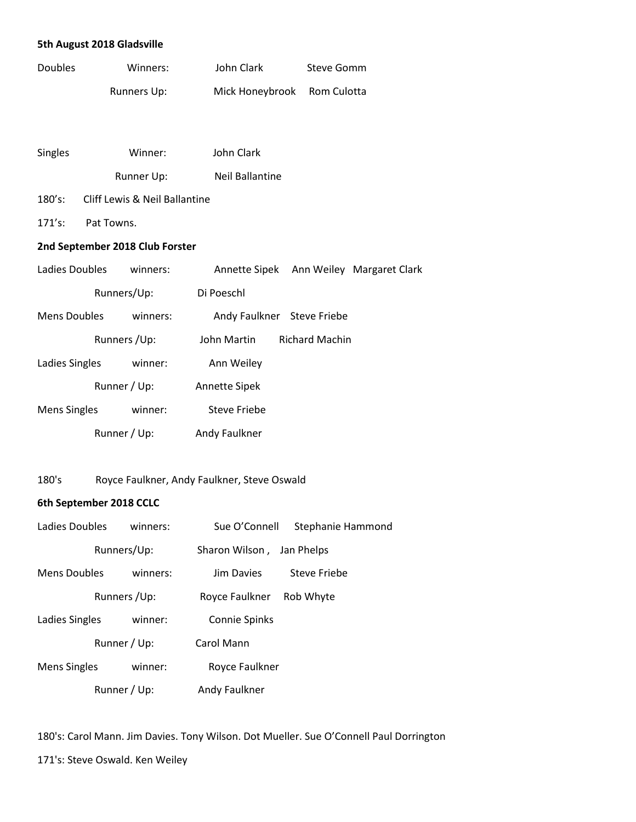### **5th August 2018 Gladsville**

| <b>Doubles</b> | Winners:    | John Clark                  | Steve Gomm |
|----------------|-------------|-----------------------------|------------|
|                | Runners Up: | Mick Honeybrook Rom Culotta |            |

| <b>Singles</b> | Winner:    | John Clark             |
|----------------|------------|------------------------|
|                | Runner Up: | <b>Neil Ballantine</b> |

# 180's: Cliff Lewis & Neil Ballantine

171's: Pat Towns.

## **2nd September 2018 Club Forster**

| Ladies Doubles      |              | winners: | Annette Sipek        |                            | Ann Weiley Margaret Clark |
|---------------------|--------------|----------|----------------------|----------------------------|---------------------------|
|                     | Runners/Up:  |          | Di Poeschl           |                            |                           |
| <b>Mens Doubles</b> |              | winners: |                      | Andy Faulkner Steve Friebe |                           |
|                     | Runners /Up: |          | John Martin          | <b>Richard Machin</b>      |                           |
| Ladies Singles      |              | winner:  | Ann Weiley           |                            |                           |
|                     | Runner / Up: |          | <b>Annette Sipek</b> |                            |                           |
| <b>Mens Singles</b> |              | winner:  | Steve Friebe         |                            |                           |
|                     | Runner / Up: |          | Andy Faulkner        |                            |                           |

# 180's Royce Faulkner, Andy Faulkner, Steve Oswald

# **6th September 2018 CCLC**

| Ladies Doubles      |              | winners: | Sue O'Connell  | Stephanie Hammond |
|---------------------|--------------|----------|----------------|-------------------|
|                     | Runners/Up:  |          | Sharon Wilson, | Jan Phelps        |
| <b>Mens Doubles</b> |              | winners: | Jim Davies     | Steve Friebe      |
|                     | Runners /Up: |          | Royce Faulkner | Rob Whyte         |
| Ladies Singles      |              | winner:  | Connie Spinks  |                   |
|                     | Runner / Up: |          | Carol Mann     |                   |
| <b>Mens Singles</b> |              | winner:  | Royce Faulkner |                   |
|                     | Runner / Up: |          | Andy Faulkner  |                   |

180's: Carol Mann. Jim Davies. Tony Wilson. Dot Mueller. Sue O'Connell Paul Dorrington

171's: Steve Oswald. Ken Weiley